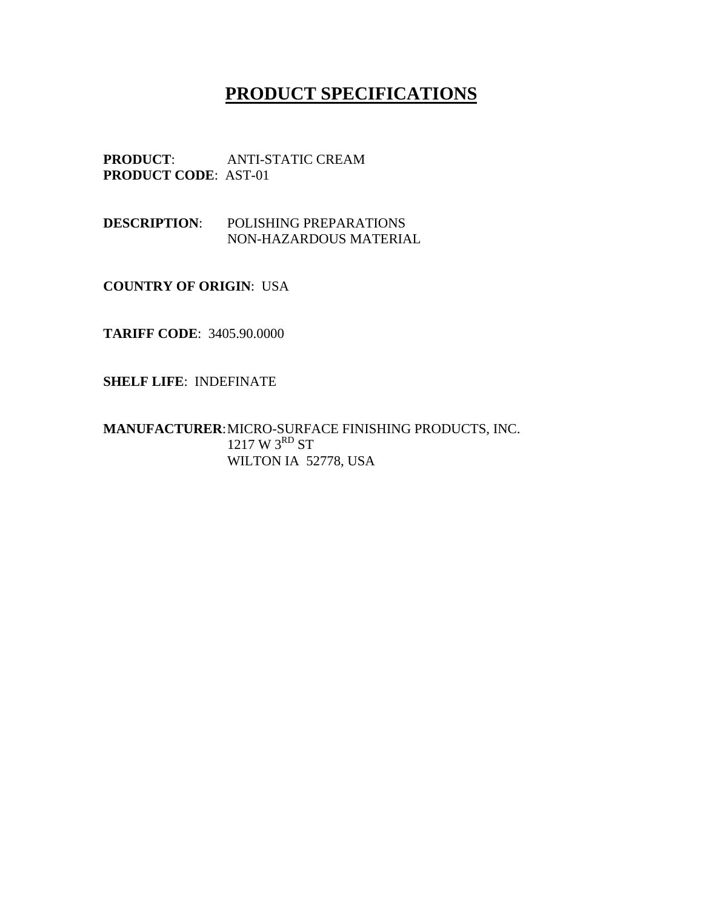## **PRODUCT SPECIFICATIONS**

**PRODUCT**: ANTI-STATIC CREAM **PRODUCT CODE**: AST-01

**DESCRIPTION**: POLISHING PREPARATIONS NON-HAZARDOUS MATERIAL

**COUNTRY OF ORIGIN**: USA

**TARIFF CODE**: 3405.90.0000

**SHELF LIFE**: INDEFINATE

**MANUFACTURER**: MICRO-SURFACE FINISHING PRODUCTS, INC. 1217 W 3RD ST WILTON IA 52778, USA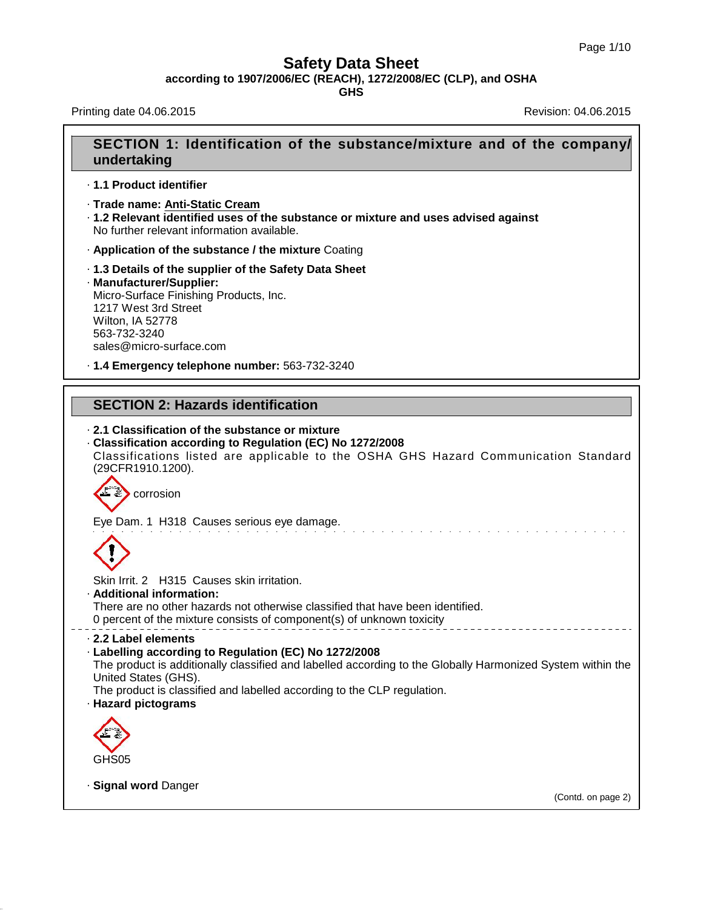**according to 1907/2006/EC (REACH), 1272/2008/EC (CLP), and OSHA**

**GHS**

Printing date 04.06.2015 **Revision: 04.06.2015** Revision: 04.06.2015

40.1.5

# **SECTION 1: Identification of the substance/mixture and of the company/ undertaking**

- · **1.1 Product identifier**
- · **Trade name: Anti-Static Cream**
- · **1.2 Relevant identified uses of the substance ormixture and uses advised against** No further relevant information available.
- · **Application of the substance / the mixture** Coating
- · **1.3 Details of the supplier of the Safety Data Sheet** · **Manufacturer/Supplier:** Micro-Surface Finishing Products, Inc. 1217 West 3rd Street Wilton, IA 52778 563-732-3240 sales@micro-surface.com
- · **1.4 Emergency telephone number:** 563-732-3240

## **SECTION 2: Hazards identification**

## · **2.1 Classification of the substance or mixture** · **Classification according to Regulation (EC) No 1272/2008** Classifications listed are applicable to the OSHA GHS Hazard Communication Standard (29CFR1910.1200). J. corrosion Eye Dam. 1 H318 Causes serious eye damage. Skin Irrit.2 H315 Causes skin irritation. · **Additional information:** There are no other hazards not otherwise classified that have been identified. 0 percent of the mixture consists of component(s) of unknown toxicity · **2.2 Label elements** · **Labelling according to Regulation (EC) No 1272/2008** The product is additionally classified and labelled according to the Globally Harmonized System within the United States (GHS). The product is classified and labelled according to the CLP regulation. · **Hazard pictograms** GHS05 · **Signal word** Danger

(Contd. on page 2)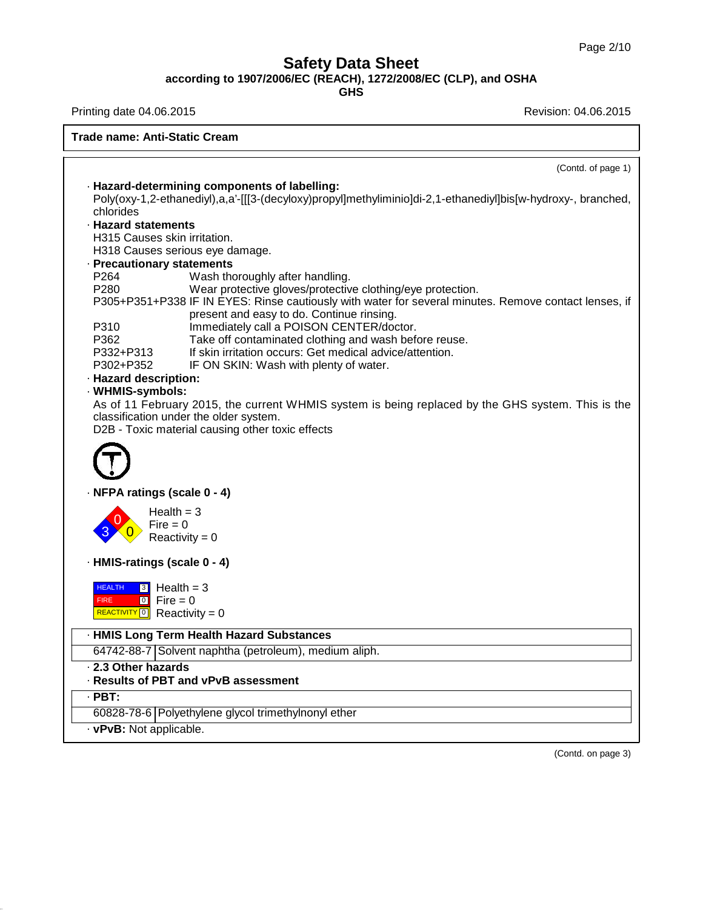**according to 1907/2006/EC (REACH), 1272/2008/EC (CLP), and OSHA**

**GHS**

Printing date 04.06.2015 **Printing date 04.06.2015** 

40.1.5

**Trade name: Anti-Static Cream**

|                                                              | (Contd. of page 1)                                                                                           |
|--------------------------------------------------------------|--------------------------------------------------------------------------------------------------------------|
|                                                              | · Hazard-determining components of labelling:                                                                |
|                                                              | Poly(oxy-1,2-ethanediyl),a,a'-[[[3-(decyloxy)propyl]methyliminio]di-2,1-ethanediyl]bis[w-hydroxy-, branched, |
| chlorides                                                    |                                                                                                              |
| · Hazard statements                                          |                                                                                                              |
| H315 Causes skin irritation.                                 |                                                                                                              |
|                                                              | H318 Causes serious eye damage.                                                                              |
| · Precautionary statements                                   |                                                                                                              |
| P <sub>264</sub>                                             | Wash thoroughly after handling.                                                                              |
| P280                                                         | Wear protective gloves/protective clothing/eye protection.                                                   |
|                                                              | P305+P351+P338 IF IN EYES: Rinse cautiously with water for several minutes. Remove contact lenses, if        |
|                                                              | present and easy to do. Continue rinsing.                                                                    |
| P310                                                         | Immediately call a POISON CENTER/doctor.                                                                     |
| P362                                                         | Take off contaminated clothing and wash before reuse.                                                        |
| P332+P313                                                    | If skin irritation occurs: Get medical advice/attention.                                                     |
| P302+P352                                                    | IF ON SKIN: Wash with plenty of water.                                                                       |
| · Hazard description:                                        |                                                                                                              |
| · WHMIS-symbols:                                             |                                                                                                              |
|                                                              | As of 11 February 2015, the current WHMIS system is being replaced by the GHS system. This is the            |
|                                                              | classification under the older system.                                                                       |
|                                                              | D2B - Toxic material causing other toxic effects                                                             |
|                                                              |                                                                                                              |
| · NFPA ratings (scale 0 - 4)                                 |                                                                                                              |
| Health $=$ 3                                                 |                                                                                                              |
| $Fire = 0$                                                   |                                                                                                              |
|                                                              | $Reactivity = 0$                                                                                             |
|                                                              |                                                                                                              |
| · HMIS-ratings (scale 0 - 4)                                 |                                                                                                              |
|                                                              |                                                                                                              |
| $3$ Health = 3<br><b>HEALTH</b>                              |                                                                                                              |
| $\boxed{0}$ Fire = 0<br><b>FIRE</b>                          |                                                                                                              |
| REACTIVITY 0 Reactivity = 0                                  |                                                                                                              |
|                                                              | · HMIS Long Term Health Hazard Substances                                                                    |
|                                                              | 64742-88-7 Solvent naphtha (petroleum), medium aliph.                                                        |
|                                                              |                                                                                                              |
|                                                              |                                                                                                              |
|                                                              |                                                                                                              |
|                                                              | · Results of PBT and vPvB assessment                                                                         |
|                                                              |                                                                                                              |
| 2.3 Other hazards<br>$\cdot$ PBT:<br>· vPvB: Not applicable. | 60828-78-6 Polyethylene glycol trimethylnonyl ether                                                          |

(Contd. on page 3)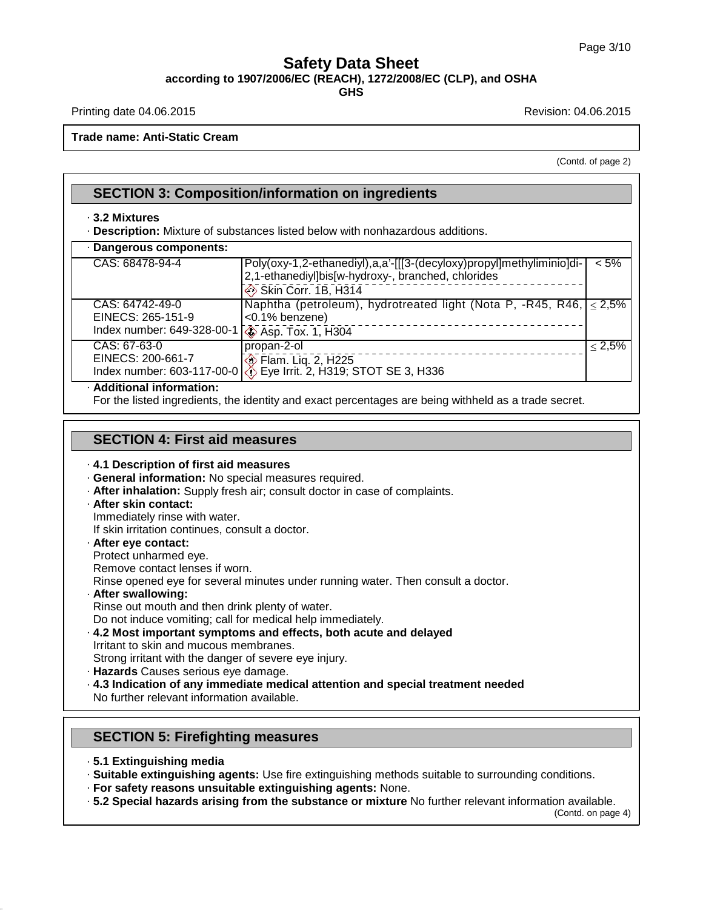### **Safety Data Sheet according to 1907/2006/EC (REACH), 1272/2008/EC (CLP), and OSHA**

**GHS**

Printing date 04.06.2015 **Revision: 04.06.2015** Revision: 04.06.2015

**Trade name: Anti-Static Cream**

(Contd. of page 2)

#### · **3.2 Mixtures**

· **Description:** Mixture of substances listed below with nonhazardous additions.

| · Dangerous components:                                                                  |                                                                                                                                                   |              |
|------------------------------------------------------------------------------------------|---------------------------------------------------------------------------------------------------------------------------------------------------|--------------|
| CAS: 68478-94-4                                                                          | Poly(oxy-1,2-ethanediyl),a,a'-[[[3-(decyloxy)propyl]methyliminio]di-<br>2,1-ethanediyl]bis[w-hydroxy-, branched, chlorides<br>Skin Corr. 1B, H314 | $< 5\%$      |
| CAS: 64742-49-0<br>EINECS: 265-151-9<br>Index number: 649-328-00-1 \ \ Asp. Tox. 1, H304 | Naphtha (petroleum), hydrotreated light (Nota P, -R45, R46, $\leq$ 2,5%<br>$ $ <0.1% benzene)                                                     |              |
| CAS: 67-63-0<br>EINECS: 200-661-7                                                        | propan-2-ol<br><b>Exam.</b> Lig. 2, H225<br>Index number: 603-117-00-0 $\otimes$ Eye Irrit. 2, H319; STOT SE 3, H336                              | $\leq 2.5\%$ |
| · Additional information:                                                                |                                                                                                                                                   |              |

For the listed ingredients, the identity and exact percentages are being withheld as a trade secret.

#### **SECTION 4: First aid measures**

#### · **4.1 Description of first aid measures**

- · **General information:** No special measures required.
- · **After inhalation:** Supply fresh air; consult doctor in case of complaints.
- · **After skin contact:**
- Immediately rinse with water. If skin irritation continues, consult a doctor.
- · **After eye contact:** Protect unharmed eye.
- Remove contact lenses if worn.
- Rinse opened eye for several minutes under running water. Then consult a doctor.
- · **After swallowing:**

Rinse out mouth and then drink plenty of water.

Do not induce vomiting; call for medical help immediately.

- · **4.2 Most important symptoms and effects, both acute and delayed** Irritant to skin and mucous membranes. Strong irritant with the danger of severe eye injury.
- · **Hazards** Causes serious eye damage.
- · **4.3 Indication of any immediate medical attention and special treatment needed** No further relevant information available.

#### **SECTION 5: Firefighting measures**

· **5.1 Extinguishing media**

40.1.5

- · **Suitable extinguishing agents:** Use fire extinguishing methods suitable to surrounding conditions.
- · **For safety reasons unsuitable extinguishing agents:** None.
- · **5.2 Special hazards arising from the substance ormixture** No further relevant information available.

(Contd. on page 4)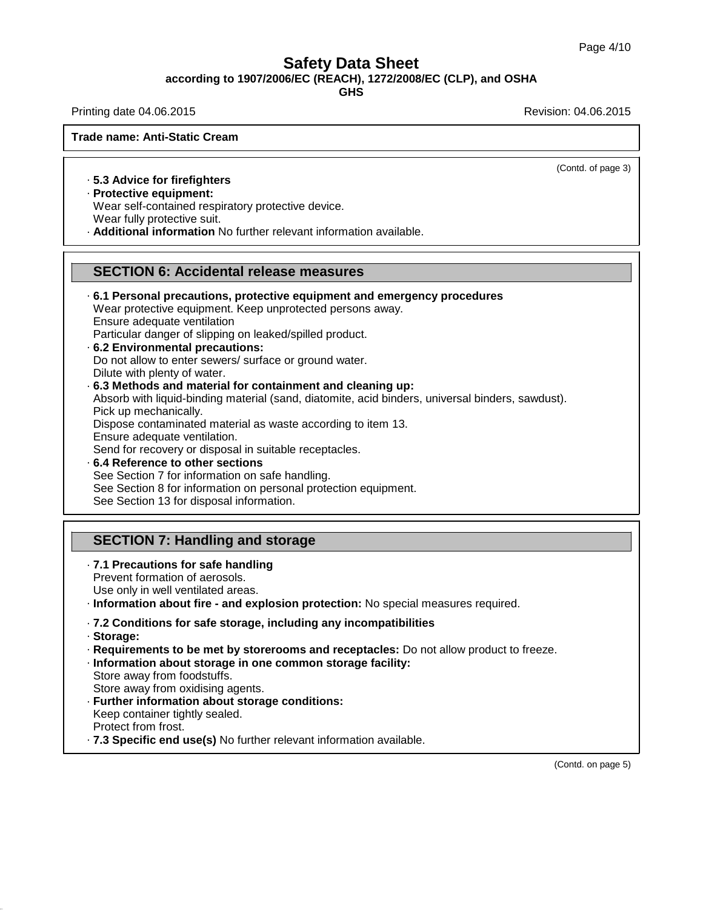**according to 1907/2006/EC (REACH), 1272/2008/EC (CLP), and OSHA**

**GHS**

Printing date 04.06.2015 **Revision: 04.06.2015** Revision: 04.06.2015

(Contd. of page 3)

**Trade name: Anti-Static Cream**

#### · **5.3 Advice for firefighters**

· **Protective equipment:**

Wear self-contained respiratory protective device. Wear fully protective suit.

· **Additional information** No further relevant information available.

#### **SECTION 6: Accidental release measures**

· **6.1 Personal precautions, protective equipment and emergency procedures**

Wear protective equipment. Keep unprotected persons away.

Ensure adequate ventilation

Particular danger of slipping on leaked/spilled product.

- · **6.2 Environmental precautions:** Do not allow to enter sewers/ surface or ground water. Dilute with plenty of water.
- · **6.3 Methods and material for containment and cleaning up:** Absorb with liquid-binding material (sand, diatomite, acid binders, universal binders, sawdust). Pick up mechanically. Dispose contaminated material as waste according to item 13.

Ensure adequate ventilation.

Send for recovery or disposal in suitable receptacles.

· **6.4 Reference to other sections** See Section 7 for information on safe handling. See Section 8 for information on personal protection equipment. See Section 13 for disposal information.

## **SECTION 7: Handling and storage**

- · **7.1 Precautions for safe handling** Prevent formation of aerosols. Use only in well ventilated areas.
- · **Information about fire - and explosion protection:** No special measures required.
- · **7.2 Conditions for safe storage, including any incompatibilities**
- · **Storage:**

40.1.5

· **Requirements to be met by storerooms and receptacles:** Do not allow product to freeze.

· **Information about storage in one common storage facility:** Store away from foodstuffs.

Store away from oxidising agents.

- · **Further information about storage conditions:** Keep container tightly sealed. Protect from frost.
- · **7.3 Specific end use(s)** No further relevant information available.

(Contd. on page 5)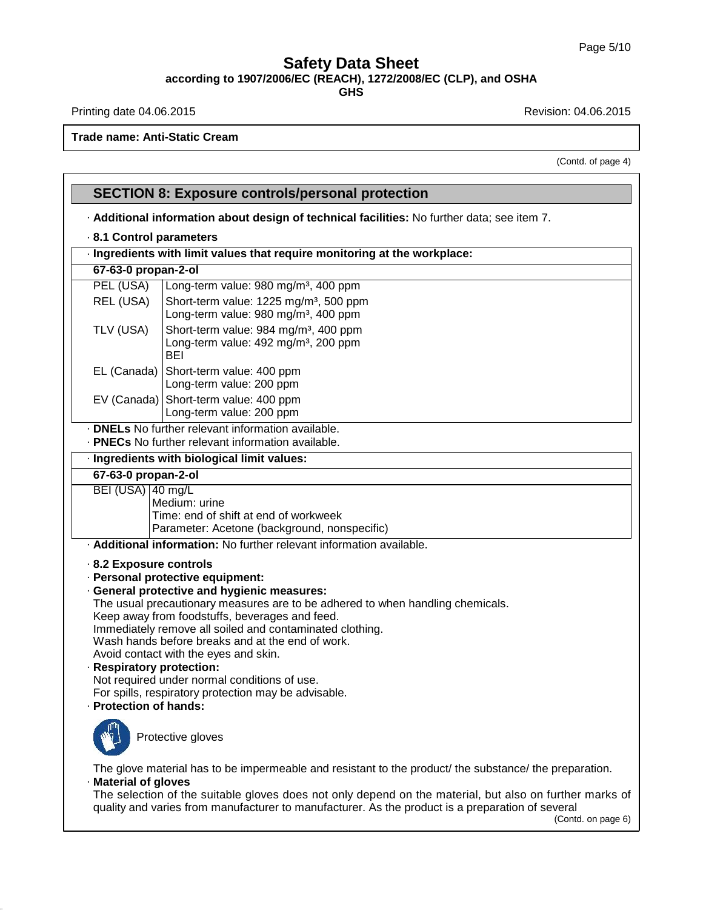**according to 1907/2006/EC (REACH), 1272/2008/EC (CLP), and OSHA**

**GHS**

Printing date 04.06.2015 **Printing date 04.06.2015** 

40.1.5

**Trade name: Anti-Static Cream**

(Contd. of page 4)

|                                                                                                     | <b>SECTION 8: Exposure controls/personal protection</b>                                                                                                                                                                                                                                                                                                                                                                                                                              |  |  |  |
|-----------------------------------------------------------------------------------------------------|--------------------------------------------------------------------------------------------------------------------------------------------------------------------------------------------------------------------------------------------------------------------------------------------------------------------------------------------------------------------------------------------------------------------------------------------------------------------------------------|--|--|--|
|                                                                                                     | - Additional information about design of technical facilities: No further data; see item 7.                                                                                                                                                                                                                                                                                                                                                                                          |  |  |  |
| 8.1 Control parameters<br>· Ingredients with limit values that require monitoring at the workplace: |                                                                                                                                                                                                                                                                                                                                                                                                                                                                                      |  |  |  |
|                                                                                                     |                                                                                                                                                                                                                                                                                                                                                                                                                                                                                      |  |  |  |
| PEL (USA)                                                                                           | Long-term value: 980 mg/m <sup>3</sup> , 400 ppm                                                                                                                                                                                                                                                                                                                                                                                                                                     |  |  |  |
| REL (USA)                                                                                           | Short-term value: 1225 mg/m <sup>3</sup> , 500 ppm<br>Long-term value: 980 mg/m <sup>3</sup> , 400 ppm                                                                                                                                                                                                                                                                                                                                                                               |  |  |  |
| TLV (USA)                                                                                           | Short-term value: 984 mg/m <sup>3</sup> , 400 ppm<br>Long-term value: 492 mg/m <sup>3</sup> , 200 ppm<br><b>BEI</b>                                                                                                                                                                                                                                                                                                                                                                  |  |  |  |
| EL (Canada)                                                                                         | Short-term value: 400 ppm<br>Long-term value: 200 ppm                                                                                                                                                                                                                                                                                                                                                                                                                                |  |  |  |
|                                                                                                     | EV (Canada) Short-term value: 400 ppm<br>Long-term value: 200 ppm                                                                                                                                                                                                                                                                                                                                                                                                                    |  |  |  |
|                                                                                                     | . <b>DNELs</b> No further relevant information available.<br>. PNECs No further relevant information available.                                                                                                                                                                                                                                                                                                                                                                      |  |  |  |
|                                                                                                     | · Ingredients with biological limit values:                                                                                                                                                                                                                                                                                                                                                                                                                                          |  |  |  |
| 67-63-0 propan-2-ol                                                                                 |                                                                                                                                                                                                                                                                                                                                                                                                                                                                                      |  |  |  |
| BEI (USA) 40 mg/L                                                                                   | Medium: urine<br>Time: end of shift at end of workweek<br>Parameter: Acetone (background, nonspecific)                                                                                                                                                                                                                                                                                                                                                                               |  |  |  |
|                                                                                                     | · Additional information: No further relevant information available.                                                                                                                                                                                                                                                                                                                                                                                                                 |  |  |  |
| 8.2 Exposure controls<br>· Respiratory protection:<br>· Protection of hands:                        | · Personal protective equipment:<br>· General protective and hygienic measures:<br>The usual precautionary measures are to be adhered to when handling chemicals.<br>Keep away from foodstuffs, beverages and feed.<br>Immediately remove all soiled and contaminated clothing.<br>Wash hands before breaks and at the end of work.<br>Avoid contact with the eyes and skin.<br>Not required under normal conditions of use.<br>For spills, respiratory protection may be advisable. |  |  |  |
|                                                                                                     | Protective gloves                                                                                                                                                                                                                                                                                                                                                                                                                                                                    |  |  |  |
| · Material of gloves                                                                                | The glove material has to be impermeable and resistant to the product/ the substance/ the preparation.<br>The selection of the suitable gloves does not only depend on the material, but also on further marks of<br>quality and varies from manufacturer to manufacturer. As the product is a preparation of several<br>(Contd. on page 6)                                                                                                                                          |  |  |  |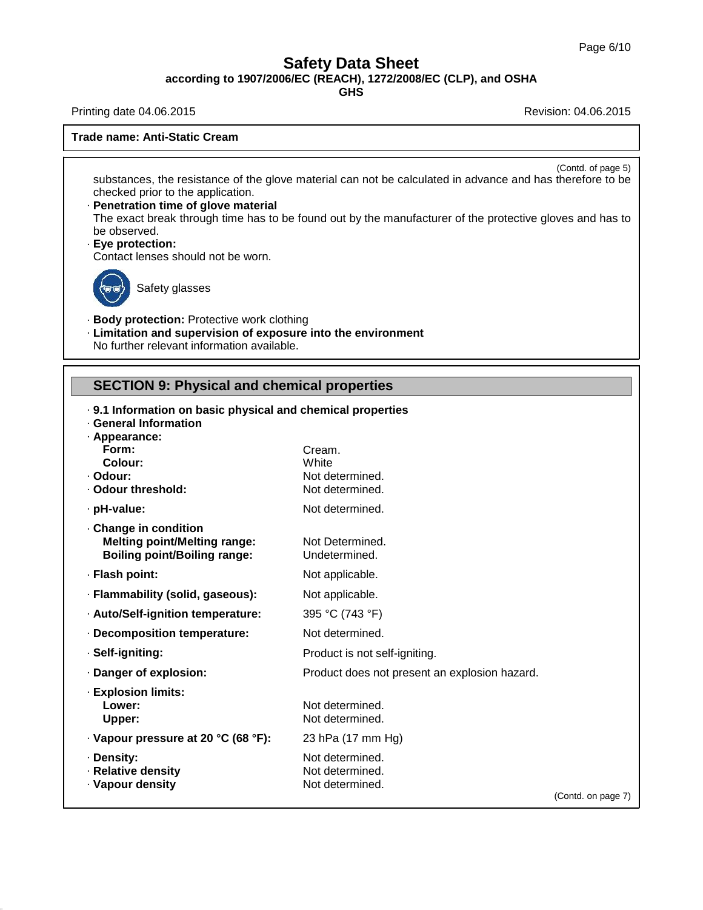**according to 1907/2006/EC (REACH), 1272/2008/EC (CLP), and OSHA**

**GHS**

Printing date 04.06.2015 **Revision: 04.06.2015** Revision: 04.06.2015

**Trade name: Anti-Static Cream**

(Contd. of page 5)

substances, the resistance of the glove material can not be calculated in advance and has therefore to be checked prior to the application.

- · **Penetration time of glove material** The exact break through time has to be found out by the manufacturer of the protective gloves and has to be observed.
- · **Eye protection:**

Contact lenses should not be worn.



40.1.5

Safety glasses

- · **Body protection:** Protective work clothing
- · **Limitation and supervision of exposure into the environment** No further relevant information available.

#### **SECTION 9: Physical and chemical properties**

|                                             | . 9.1 Information on basic physical and chemical properties |                    |  |  |  |
|---------------------------------------------|-------------------------------------------------------------|--------------------|--|--|--|
| <b>General Information</b><br>· Appearance: |                                                             |                    |  |  |  |
| Form:                                       | Cream.                                                      |                    |  |  |  |
| Colour:                                     | White                                                       |                    |  |  |  |
| · Odour:                                    | Not determined.                                             |                    |  |  |  |
| . Odour threshold:                          | Not determined.                                             |                    |  |  |  |
| · pH-value:                                 | Not determined.                                             |                    |  |  |  |
| Change in condition                         |                                                             |                    |  |  |  |
| <b>Melting point/Melting range:</b>         | Not Determined.                                             |                    |  |  |  |
| <b>Boiling point/Boiling range:</b>         | Undetermined.                                               |                    |  |  |  |
| · Flash point:                              | Not applicable.                                             |                    |  |  |  |
| · Flammability (solid, gaseous):            | Not applicable.                                             |                    |  |  |  |
| · Auto/Self-ignition temperature:           | 395 °C (743 °F)                                             |                    |  |  |  |
| Decomposition temperature:                  | Not determined.                                             |                    |  |  |  |
| · Self-igniting:                            | Product is not self-igniting.                               |                    |  |  |  |
| · Danger of explosion:                      | Product does not present an explosion hazard.               |                    |  |  |  |
| <b>Explosion limits:</b>                    |                                                             |                    |  |  |  |
| Lower:                                      | Not determined.                                             |                    |  |  |  |
| Upper:                                      | Not determined.                                             |                    |  |  |  |
| · Vapour pressure at 20 °C (68 °F):         | 23 hPa (17 mm Hg)                                           |                    |  |  |  |
| · Density:                                  | Not determined.                                             |                    |  |  |  |
| · Relative density                          | Not determined.                                             |                    |  |  |  |
| · Vapour density                            | Not determined.                                             |                    |  |  |  |
|                                             |                                                             | (Contd. on page 7) |  |  |  |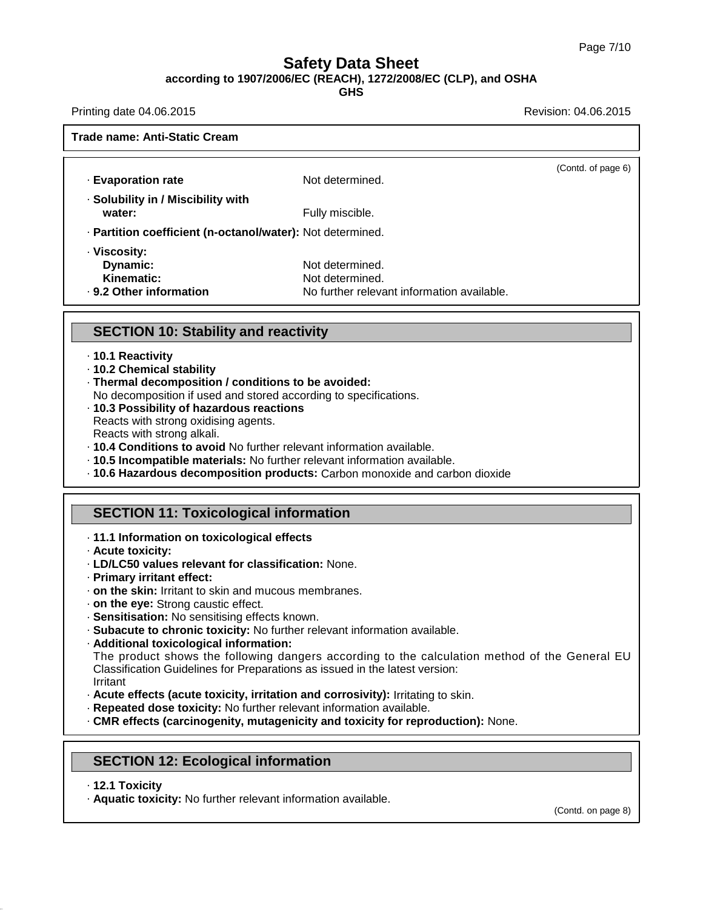**according to 1907/2006/EC (REACH), 1272/2008/EC (CLP), and OSHA**

**GHS**

Printing date 04.06.2015 **Revision: 04.06.2015** Revision: 04.06.2015

**Trade name: Anti-Static Cream**

| · Evaporation rate                                                | Not determined.                                                                  | (Contd. of page 6) |
|-------------------------------------------------------------------|----------------------------------------------------------------------------------|--------------------|
| · Solubility in / Miscibility with<br>water:                      | Fully miscible.                                                                  |                    |
| · Partition coefficient (n-octanol/water): Not determined.        |                                                                                  |                    |
| · Viscosity:<br>Dynamic:<br>Kinematic:<br>. 9.2 Other information | Not determined.<br>Not determined.<br>No further relevant information available. |                    |

#### **SECTION 10: Stability and reactivity**

- · **10.1 Reactivity**
- · **10.2 Chemical stability**
- · **Thermal decomposition / conditions to be avoided:**
- No decomposition if used and stored according to specifications.
- · **10.3 Possibility of hazardous reactions**

Reacts with strong oxidising agents.

- Reacts with strong alkali.
- · **10.4 Conditions to avoid** No further relevant information available.
- · **10.5 Incompatible materials:** No further relevant information available.
- · **10.6 Hazardous decomposition products:** Carbon monoxide and carbon dioxide

#### **SECTION 11: Toxicological information**

- · **11.1 Information on toxicological effects**
- · **Acute toxicity:**
- · **LD/LC50 values relevant for classification:** None.
- · **Primary irritant effect:**
- · **on the skin:** Irritant to skin and mucous membranes.
- · **on the eye:** Strong caustic effect.
- · **Sensitisation:** No sensitising effects known.
- · **Subacute to chronic toxicity:** No further relevant information available.
- · **Additional toxicological information:**

The product shows the following dangers according to the calculation method of the General EU Classification Guidelines for Preparations as issued in the latest version: Irritant

- · **Acute effects (acute toxicity, irritation and corrosivity):** Irritating to skin.
- · **Repeated dose toxicity:** No further relevant information available.
- · **CMR effects (carcinogenity, mutagenicity and toxicity for reproduction):** None.

## **SECTION 12: Ecological information**

· **12.1 Toxicity**

40.1.5

· **Aquatic toxicity:** No further relevant information available.

(Contd. on page 8)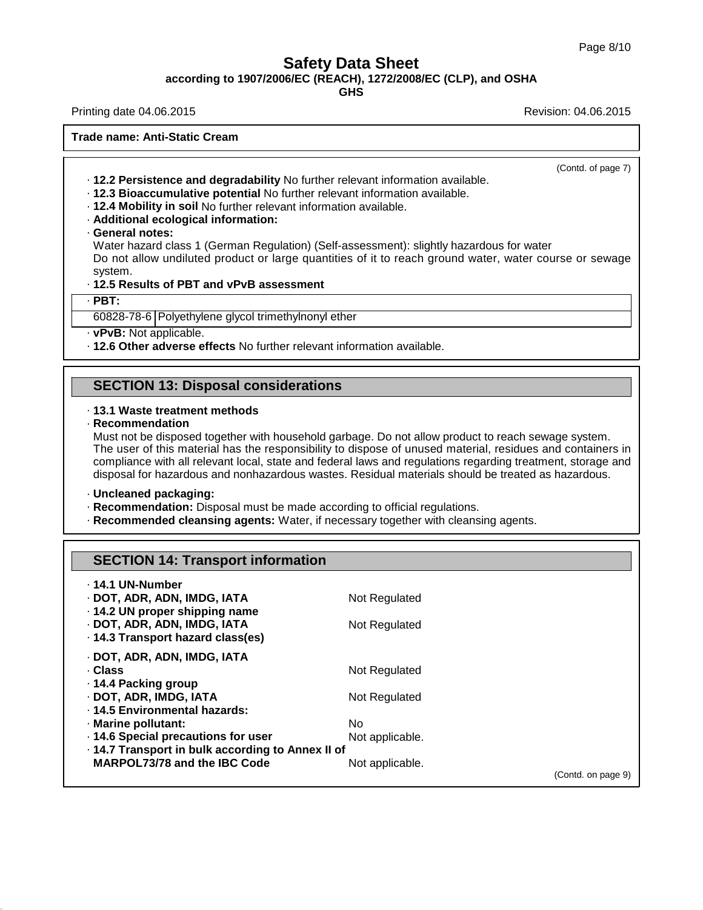**according to 1907/2006/EC (REACH), 1272/2008/EC (CLP), and OSHA**

**GHS**

Printing date 04.06.2015 **Revision: 04.06.2015** Revision: 04.06.2015

**Trade name: Anti-Static Cream**

(Contd. of page 7)

- · **12.2 Persistence and degradability** No further relevant information available.
- · **12.3 Bioaccumulative potential** No further relevant information available.
- · **12.4 Mobility in soil** No further relevant information available.
- · **Additional ecological information:**
- · **General notes:**

Water hazard class 1 (German Regulation) (Self-assessment): slightly hazardous for water Do not allow undiluted product or large quantities of it to reach ground water, water course or sewage system.

#### · **12.5 Results of PBT and vPvB assessment**

· **PBT:**

40.1.5

60828-78-6 Polyethylene glycol trimethylnonyl ether

· **vPvB:** Not applicable.

· **12.6 Other adverse effects** No further relevant information available.

#### **SECTION 13: Disposal considerations**

#### · **13.1 Waste treatment methods**

· **Recommendation**

Must not be disposed together with household garbage. Do not allow product to reach sewage system. The user of this material has the responsibility to dispose of unused material, residues and containers in compliance with all relevant local, state and federal laws and regulations regarding treatment, storage and disposal for hazardous and nonhazardous wastes. Residual materials should be treated as hazardous.

· **Uncleaned packaging:**

- · **Recommendation:** Disposal must be made according to official regulations.
- · **Recommended cleansing agents:** Water, if necessary together with cleansing agents.

## **SECTION 14: Transport information**

| ⋅ 14.1 UN-Number<br>· DOT, ADR, ADN, IMDG, IATA<br>⋅ 14.2 UN proper shipping name<br>· DOT, ADR, ADN, IMDG, IATA<br>· 14.3 Transport hazard class(es) | Not Regulated<br>Not Regulated |                    |
|-------------------------------------------------------------------------------------------------------------------------------------------------------|--------------------------------|--------------------|
| · DOT, ADR, ADN, IMDG, IATA                                                                                                                           |                                |                    |
| · Class                                                                                                                                               | Not Regulated                  |                    |
| ⋅ 14.4 Packing group                                                                                                                                  |                                |                    |
| · DOT, ADR, IMDG, IATA                                                                                                                                | Not Regulated                  |                    |
| .14.5 Environmental hazards:                                                                                                                          |                                |                    |
| · Marine pollutant:                                                                                                                                   | No.                            |                    |
| 14.6 Special precautions for user                                                                                                                     | Not applicable.                |                    |
| · 14.7 Transport in bulk according to Annex II of                                                                                                     |                                |                    |
| <b>MARPOL73/78 and the IBC Code</b>                                                                                                                   | Not applicable.                |                    |
|                                                                                                                                                       |                                | (Contd. on page 9) |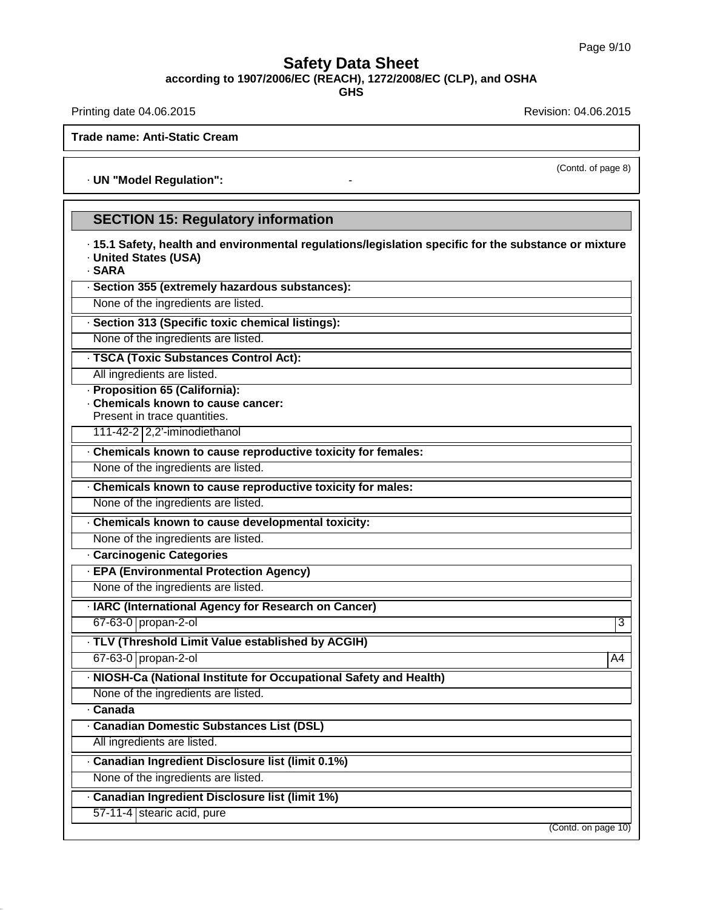**according to 1907/2006/EC (REACH), 1272/2008/EC (CLP), and OSHA**

**GHS**

Printing date 04.06.2015 **Revision: 04.06.2015** Revision: 04.06.2015

**Trade name: Anti-Static Cream**

· **UN "Model Regulation":** -

#### **SECTION 15: Regulatory information**

· **15.1 Safety, health and environmental regulations/legislation specific for the substance ormixture** · **United States (USA)**

· **SARA**

· **Section 355 (extremely hazardous substances):**

None of the ingredients are listed.

· **Section 313 (Specific toxic chemical listings):**

None of the ingredients are listed.

· **TSCA (Toxic Substances Control Act):**

All ingredients are listed.

· **Proposition 65 (California):**

· **Chemicals known to cause cancer:**

Present in trace quantities. 111-42-2 2,2'-iminodiethanol

· **Chemicals known to cause reproductive toxicity for females:**

None of the ingredients are listed.

· **Chemicals known to cause reproductive toxicity for males:**

None of the ingredients are listed.

· **Chemicals known to cause developmental toxicity:**

None of the ingredients are listed.

· **Carcinogenic Categories**

· **EPA (Environmental Protection Agency)**

None of the ingredients are listed.

· **IARC (International Agency for Research on Cancer)**

67-63-0 propan-2-ol 3

· **TLV (Threshold Limit Value established by ACGIH)**

67-63-0 propan-2-ol A4

· **NIOSH-Ca (National Institute for Occupational Safety and Health)**

None of the ingredients are listed.

· **Canada**

40.1.5

· **Canadian Domestic Substances List (DSL)**

All ingredients are listed.

· **Canadian Ingredient Disclosure list (limit 0.1%)**

None of the ingredients are listed.

· **Canadian Ingredient Disclosure list (limit 1%)**

57-11-4 stearic acid, pure

(Contd. on page 10)

(Contd. of page 8)